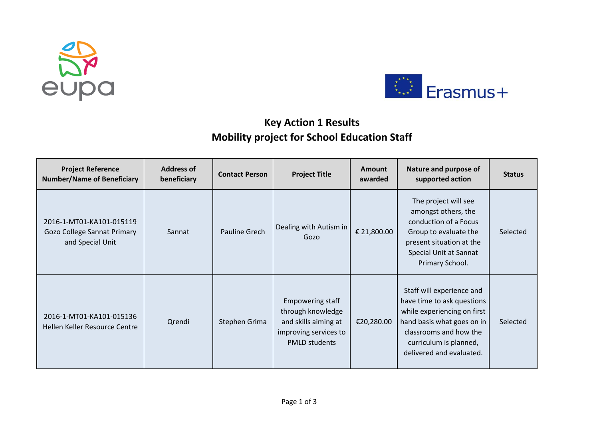



## **Key Action 1 Results Mobility project for School Education Staff**

| <b>Project Reference</b><br><b>Number/Name of Beneficiary</b>               | <b>Address of</b><br>beneficiary | <b>Contact Person</b> | <b>Project Title</b>                                                                                                  | Amount<br>awarded | Nature and purpose of<br>supported action                                                                                                                                                            | <b>Status</b> |
|-----------------------------------------------------------------------------|----------------------------------|-----------------------|-----------------------------------------------------------------------------------------------------------------------|-------------------|------------------------------------------------------------------------------------------------------------------------------------------------------------------------------------------------------|---------------|
| 2016-1-MT01-KA101-015119<br>Gozo College Sannat Primary<br>and Special Unit | Sannat                           | Pauline Grech         | Dealing with Autism in<br>G070                                                                                        | € 21,800.00       | The project will see<br>amongst others, the<br>conduction of a Focus<br>Group to evaluate the<br>present situation at the<br>Special Unit at Sannat<br>Primary School.                               | Selected      |
| 2016-1-MT01-KA101-015136<br>Hellen Keller Resource Centre                   | Qrendi                           | Stephen Grima         | <b>Empowering staff</b><br>through knowledge<br>and skills aiming at<br>improving services to<br><b>PMLD students</b> | €20,280.00        | Staff will experience and<br>have time to ask questions<br>while experiencing on first<br>hand basis what goes on in<br>classrooms and how the<br>curriculum is planned,<br>delivered and evaluated. | Selected      |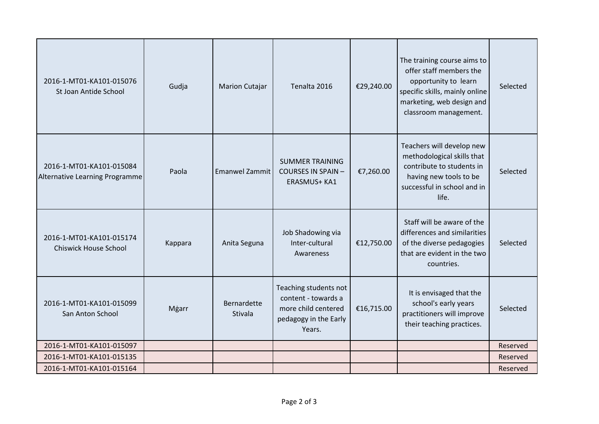| 2016-1-MT01-KA101-015076<br>St Joan Antide School          | Gudja   | <b>Marion Cutajar</b>  | Tenalta 2016                                                                                           | €29,240.00 | The training course aims to<br>offer staff members the<br>opportunity to learn<br>specific skills, mainly online<br>marketing, web design and<br>classroom management. | Selected |
|------------------------------------------------------------|---------|------------------------|--------------------------------------------------------------------------------------------------------|------------|------------------------------------------------------------------------------------------------------------------------------------------------------------------------|----------|
| 2016-1-MT01-KA101-015084<br>Alternative Learning Programme | Paola   | <b>Emanwel Zammit</b>  | <b>SUMMER TRAINING</b><br><b>COURSES IN SPAIN-</b><br>ERASMUS+ KA1                                     | €7,260.00  | Teachers will develop new<br>methodological skills that<br>contribute to students in<br>having new tools to be<br>successful in school and in<br>life.                 | Selected |
| 2016-1-MT01-KA101-015174<br><b>Chiswick House School</b>   | Kappara | Anita Seguna           | Job Shadowing via<br>Inter-cultural<br>Awareness                                                       | €12,750.00 | Staff will be aware of the<br>differences and similarities<br>of the diverse pedagogies<br>that are evident in the two<br>countries.                                   | Selected |
| 2016-1-MT01-KA101-015099<br>San Anton School               | Mgarr   | Bernardette<br>Stivala | Teaching students not<br>content - towards a<br>more child centered<br>pedagogy in the Early<br>Years. | €16,715.00 | It is envisaged that the<br>school's early years<br>practitioners will improve<br>their teaching practices.                                                            | Selected |
| 2016-1-MT01-KA101-015097                                   |         |                        |                                                                                                        |            |                                                                                                                                                                        | Reserved |
| 2016-1-MT01-KA101-015135                                   |         |                        |                                                                                                        |            |                                                                                                                                                                        | Reserved |
| 2016-1-MT01-KA101-015164                                   |         |                        |                                                                                                        |            |                                                                                                                                                                        | Reserved |